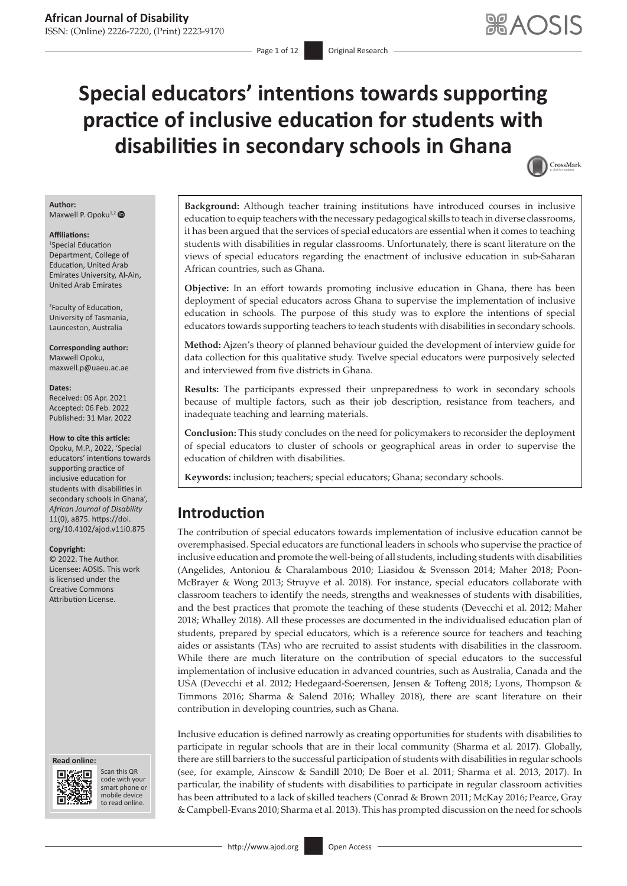# **Special educators' intentions towards supporting practice of inclusive education for students with disabilities in secondary schools in Ghana**



#### **Author:** Maxwell P. Opoku $^{1,2}$  $^{1,2}$  $^{1,2}$   $\bullet$

#### **Affiliations:**

1 Special Education Department, College of Education, United Arab Emirates University, Al-Ain, United Arab Emirates

2 Faculty of Education, University of Tasmania, Launceston, Australia

**Corresponding author:** Maxwell Opoku, [maxwell.p@uaeu.ac.ae](mailto:maxwell.p@uaeu.ac.ae)

#### **Dates:**

Received: 06 Apr. 2021 Accepted: 06 Feb. 2022 Published: 31 Mar. 2022

#### **How to cite this article:**

Opoku, M.P., 2022, 'Special educators' intentions towards supporting practice of inclusive education for students with disabilities in secondary schools in Ghana', *African Journal of Disability* 11(0), a875. [https://doi.](https://doi.org/10.4102/ajod.v11i0.875) [org/10.4102/ajod.v11i0.875](https://doi.org/10.4102/ajod.v11i0.875)

#### **Copyright:**

© 2022. The Author. Licensee: AOSIS. This work is licensed under the Creative Commons Attribution License.

#### **Read online: Read online:**



Scan this QR code with your Scan this QR<br>code with your<br>smart phone or<br>mobile device mobile device to read online. to read online.

**Background:** Although teacher training institutions have introduced courses in inclusive education to equip teachers with the necessary pedagogical skills to teach in diverse classrooms, it has been argued that the services of special educators are essential when it comes to teaching students with disabilities in regular classrooms. Unfortunately, there is scant literature on the views of special educators regarding the enactment of inclusive education in sub-Saharan African countries, such as Ghana.

**Objective:** In an effort towards promoting inclusive education in Ghana, there has been deployment of special educators across Ghana to supervise the implementation of inclusive education in schools. The purpose of this study was to explore the intentions of special educators towards supporting teachers to teach students with disabilities in secondary schools.

**Method:** Ajzen's theory of planned behaviour guided the development of interview guide for data collection for this qualitative study. Twelve special educators were purposively selected and interviewed from five districts in Ghana.

**Results:** The participants expressed their unpreparedness to work in secondary schools because of multiple factors, such as their job description, resistance from teachers, and inadequate teaching and learning materials.

**Conclusion:** This study concludes on the need for policymakers to reconsider the deployment of special educators to cluster of schools or geographical areas in order to supervise the education of children with disabilities.

**Keywords:** inclusion; teachers; special educators; Ghana; secondary schools.

# **Introduction**

The contribution of special educators towards implementation of inclusive education cannot be overemphasised. Special educators are functional leaders in schools who supervise the practice of inclusive education and promote the well-being of all students, including students with disabilities (Angelides, Antoniou & Charalambous 2010; Liasidou & Svensson 2014; Maher 2018; Poon-McBrayer & Wong 2013; Struyve et al. 2018). For instance, special educators collaborate with classroom teachers to identify the needs, strengths and weaknesses of students with disabilities, and the best practices that promote the teaching of these students (Devecchi et al. 2012; Maher 2018; Whalley 2018). All these processes are documented in the individualised education plan of students, prepared by special educators, which is a reference source for teachers and teaching aides or assistants (TAs) who are recruited to assist students with disabilities in the classroom. While there are much literature on the contribution of special educators to the successful implementation of inclusive education in advanced countries, such as Australia, Canada and the USA (Devecchi et al. 2012; Hedegaard-Soerensen, Jensen & Tofteng 2018; Lyons, Thompson & Timmons 2016; Sharma & Salend 2016; Whalley 2018), there are scant literature on their contribution in developing countries, such as Ghana.

Inclusive education is defined narrowly as creating opportunities for students with disabilities to participate in regular schools that are in their local community (Sharma et al. 2017). Globally, there are still barriers to the successful participation of students with disabilities in regular schools (see, for example, Ainscow & Sandill 2010; De Boer et al. 2011; Sharma et al. 2013, 2017). In particular, the inability of students with disabilities to participate in regular classroom activities has been attributed to a lack of skilled teachers (Conrad & Brown 2011; McKay 2016; Pearce, Gray & Campbell-Evans 2010; Sharma et al. 2013). This has prompted discussion on the need for schools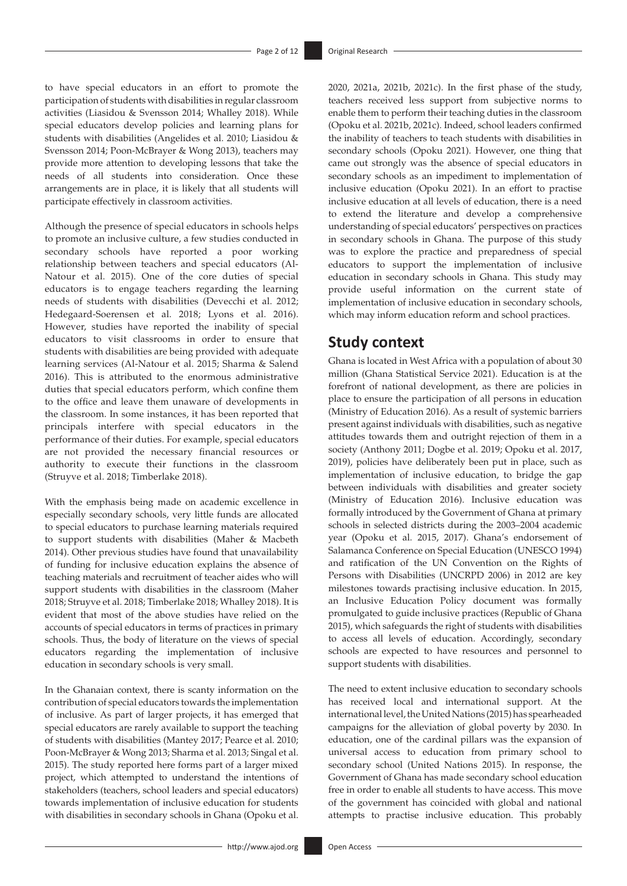to have special educators in an effort to promote the participation of students with disabilities in regular classroom activities (Liasidou & Svensson 2014; Whalley 2018). While special educators develop policies and learning plans for students with disabilities (Angelides et al. 2010; Liasidou & Svensson 2014; Poon-McBrayer & Wong 2013), teachers may provide more attention to developing lessons that take the needs of all students into consideration. Once these arrangements are in place, it is likely that all students will participate effectively in classroom activities.

Although the presence of special educators in schools helps to promote an inclusive culture, a few studies conducted in secondary schools have reported a poor working relationship between teachers and special educators (Al-Natour et al. 2015). One of the core duties of special educators is to engage teachers regarding the learning needs of students with disabilities (Devecchi et al. 2012; Hedegaard-Soerensen et al. 2018; Lyons et al. 2016). However, studies have reported the inability of special educators to visit classrooms in order to ensure that students with disabilities are being provided with adequate learning services (Al-Natour et al. 2015; Sharma & Salend 2016). This is attributed to the enormous administrative duties that special educators perform, which confine them to the office and leave them unaware of developments in the classroom. In some instances, it has been reported that principals interfere with special educators in the performance of their duties. For example, special educators are not provided the necessary financial resources or authority to execute their functions in the classroom (Struyve et al. 2018; Timberlake 2018).

With the emphasis being made on academic excellence in especially secondary schools, very little funds are allocated to special educators to purchase learning materials required to support students with disabilities (Maher & Macbeth 2014). Other previous studies have found that unavailability of funding for inclusive education explains the absence of teaching materials and recruitment of teacher aides who will support students with disabilities in the classroom (Maher 2018; Struyve et al. 2018; Timberlake 2018; Whalley 2018). It is evident that most of the above studies have relied on the accounts of special educators in terms of practices in primary schools. Thus, the body of literature on the views of special educators regarding the implementation of inclusive education in secondary schools is very small.

In the Ghanaian context, there is scanty information on the contribution of special educators towards the implementation of inclusive. As part of larger projects, it has emerged that special educators are rarely available to support the teaching of students with disabilities (Mantey 2017; Pearce et al. 2010; Poon-McBrayer & Wong 2013; Sharma et al. 2013; Singal et al. 2015). The study reported here forms part of a larger mixed project, which attempted to understand the intentions of stakeholders (teachers, school leaders and special educators) towards implementation of inclusive education for students with disabilities in secondary schools in Ghana (Opoku et al. 2020, 2021a, 2021b, 2021c). In the first phase of the study, teachers received less support from subjective norms to enable them to perform their teaching duties in the classroom (Opoku et al. 2021b, 2021c). Indeed, school leaders confirmed the inability of teachers to teach students with disabilities in secondary schools (Opoku 2021). However, one thing that came out strongly was the absence of special educators in secondary schools as an impediment to implementation of inclusive education (Opoku 2021). In an effort to practise inclusive education at all levels of education, there is a need to extend the literature and develop a comprehensive understanding of special educators' perspectives on practices in secondary schools in Ghana. The purpose of this study was to explore the practice and preparedness of special educators to support the implementation of inclusive education in secondary schools in Ghana. This study may provide useful information on the current state of implementation of inclusive education in secondary schools, which may inform education reform and school practices.

# **Study context**

Ghana is located in West Africa with a population of about 30 million (Ghana Statistical Service 2021). Education is at the forefront of national development, as there are policies in place to ensure the participation of all persons in education (Ministry of Education 2016). As a result of systemic barriers present against individuals with disabilities, such as negative attitudes towards them and outright rejection of them in a society (Anthony 2011; Dogbe et al. 2019; Opoku et al. 2017, 2019), policies have deliberately been put in place, such as implementation of inclusive education, to bridge the gap between individuals with disabilities and greater society (Ministry of Education 2016). Inclusive education was formally introduced by the Government of Ghana at primary schools in selected districts during the 2003–2004 academic year (Opoku et al. 2015, 2017). Ghana's endorsement of Salamanca Conference on Special Education (UNESCO 1994) and ratification of the UN Convention on the Rights of Persons with Disabilities (UNCRPD 2006) in 2012 are key milestones towards practising inclusive education. In 2015, an Inclusive Education Policy document was formally promulgated to guide inclusive practices (Republic of Ghana 2015), which safeguards the right of students with disabilities to access all levels of education. Accordingly, secondary schools are expected to have resources and personnel to support students with disabilities.

The need to extent inclusive education to secondary schools has received local and international support. At the international level, the United Nations (2015) has spearheaded campaigns for the alleviation of global poverty by 2030. In education, one of the cardinal pillars was the expansion of universal access to education from primary school to secondary school (United Nations 2015). In response, the Government of Ghana has made secondary school education free in order to enable all students to have access. This move of the government has coincided with global and national attempts to practise inclusive education. This probably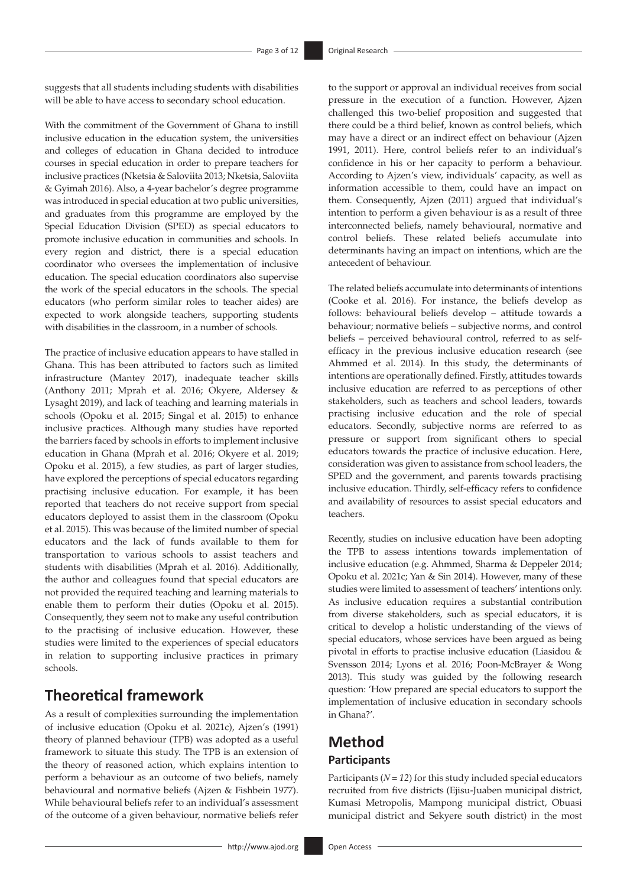suggests that all students including students with disabilities will be able to have access to secondary school education.

With the commitment of the Government of Ghana to instill inclusive education in the education system, the universities and colleges of education in Ghana decided to introduce courses in special education in order to prepare teachers for inclusive practices (Nketsia & Saloviita 2013; Nketsia, Saloviita & Gyimah 2016). Also, a 4-year bachelor's degree programme was introduced in special education at two public universities, and graduates from this programme are employed by the Special Education Division (SPED) as special educators to promote inclusive education in communities and schools. In every region and district, there is a special education coordinator who oversees the implementation of inclusive education. The special education coordinators also supervise the work of the special educators in the schools. The special educators (who perform similar roles to teacher aides) are expected to work alongside teachers, supporting students with disabilities in the classroom, in a number of schools.

The practice of inclusive education appears to have stalled in Ghana. This has been attributed to factors such as limited infrastructure (Mantey 2017), inadequate teacher skills (Anthony 2011; Mprah et al. 2016; Okyere, Aldersey & Lysaght 2019), and lack of teaching and learning materials in schools (Opoku et al. 2015; Singal et al. 2015) to enhance inclusive practices. Although many studies have reported the barriers faced by schools in efforts to implement inclusive education in Ghana (Mprah et al. 2016; Okyere et al. 2019; Opoku et al. 2015), a few studies, as part of larger studies, have explored the perceptions of special educators regarding practising inclusive education. For example, it has been reported that teachers do not receive support from special educators deployed to assist them in the classroom (Opoku et al. 2015). This was because of the limited number of special educators and the lack of funds available to them for transportation to various schools to assist teachers and students with disabilities (Mprah et al. 2016). Additionally, the author and colleagues found that special educators are not provided the required teaching and learning materials to enable them to perform their duties (Opoku et al. 2015). Consequently, they seem not to make any useful contribution to the practising of inclusive education. However, these studies were limited to the experiences of special educators in relation to supporting inclusive practices in primary schools.

# **Theoretical framework**

As a result of complexities surrounding the implementation of inclusive education (Opoku et al. 2021c), Ajzen's (1991) theory of planned behaviour (TPB) was adopted as a useful framework to situate this study. The TPB is an extension of the theory of reasoned action, which explains intention to perform a behaviour as an outcome of two beliefs, namely behavioural and normative beliefs (Ajzen & Fishbein 1977). While behavioural beliefs refer to an individual's assessment of the outcome of a given behaviour, normative beliefs refer

to the support or approval an individual receives from social pressure in the execution of a function. However, Ajzen challenged this two-belief proposition and suggested that there could be a third belief, known as control beliefs, which may have a direct or an indirect effect on behaviour (Ajzen 1991, 2011). Here, control beliefs refer to an individual's confidence in his or her capacity to perform a behaviour. According to Ajzen's view, individuals' capacity, as well as information accessible to them, could have an impact on them. Consequently, Ajzen (2011) argued that individual's intention to perform a given behaviour is as a result of three interconnected beliefs, namely behavioural, normative and control beliefs. These related beliefs accumulate into determinants having an impact on intentions, which are the antecedent of behaviour.

The related beliefs accumulate into determinants of intentions (Cooke et al. 2016). For instance, the beliefs develop as follows: behavioural beliefs develop – attitude towards a behaviour; normative beliefs – subjective norms, and control beliefs – perceived behavioural control, referred to as selfefficacy in the previous inclusive education research (see Ahmmed et al. 2014). In this study, the determinants of intentions are operationally defined. Firstly, attitudes towards inclusive education are referred to as perceptions of other stakeholders, such as teachers and school leaders, towards practising inclusive education and the role of special educators. Secondly, subjective norms are referred to as pressure or support from significant others to special educators towards the practice of inclusive education. Here, consideration was given to assistance from school leaders, the SPED and the government, and parents towards practising inclusive education. Thirdly, self-efficacy refers to confidence and availability of resources to assist special educators and teachers.

Recently, studies on inclusive education have been adopting the TPB to assess intentions towards implementation of inclusive education (e.g. Ahmmed, Sharma & Deppeler 2014; Opoku et al. 2021c; Yan & Sin 2014). However, many of these studies were limited to assessment of teachers' intentions only. As inclusive education requires a substantial contribution from diverse stakeholders, such as special educators, it is critical to develop a holistic understanding of the views of special educators, whose services have been argued as being pivotal in efforts to practise inclusive education (Liasidou & Svensson 2014; Lyons et al. 2016; Poon-McBrayer & Wong 2013). This study was guided by the following research question: 'How prepared are special educators to support the implementation of inclusive education in secondary schools in Ghana?'.

### **Method Participants**

Participants ( $N = 12$ ) for this study included special educators recruited from five districts (Ejisu-Juaben municipal district, Kumasi Metropolis, Mampong municipal district, Obuasi municipal district and Sekyere south district) in the most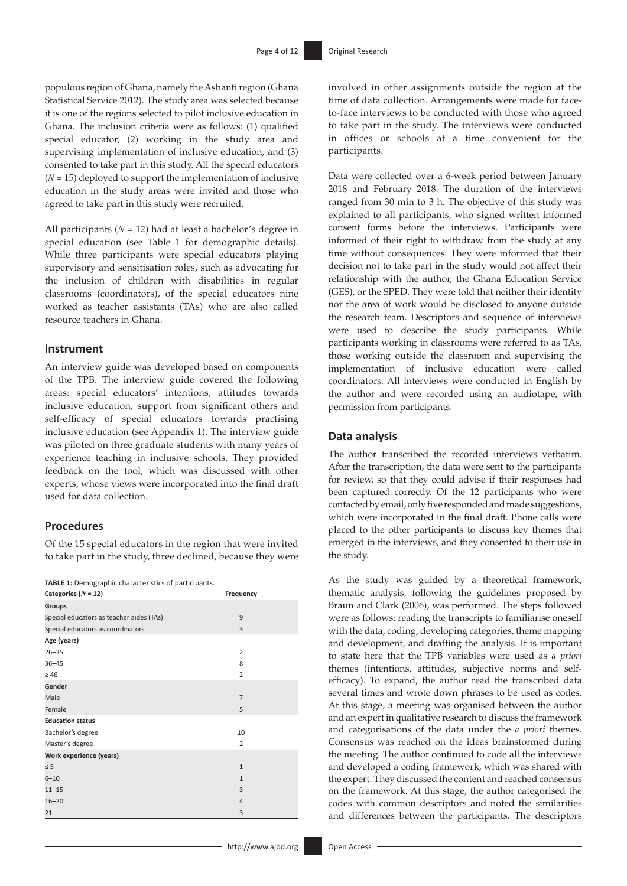populous region of Ghana, namely the Ashanti region (Ghana Statistical Service 2012). The study area was selected because it is one of the regions selected to pilot inclusive education in Ghana. The inclusion criteria were as follows: (1) qualified special educator, (2) working in the study area and supervising implementation of inclusive education, and (3) consented to take part in this study. All the special educators  $(N = 15)$  deployed to support the implementation of inclusive education in the study areas were invited and those who agreed to take part in this study were recruited.

All participants  $(N = 12)$  had at least a bachelor's degree in special education (see Table 1 for demographic details). While three participants were special educators playing supervisory and sensitisation roles, such as advocating for the inclusion of children with disabilities in regular classrooms (coordinators), of the special educators nine worked as teacher assistants (TAs) who are also called resource teachers in Ghana.

#### **Instrument**

An interview guide was developed based on components of the TPB. The interview guide covered the following areas: special educators' intentions, attitudes towards inclusive education, support from significant others and self-efficacy of special educators towards practising inclusive education (see Appendix 1). The interview guide was piloted on three graduate students with many years of experience teaching in inclusive schools. They provided feedback on the tool, which was discussed with other experts, whose views were incorporated into the final draft used for data collection.

### **Procedures**

Of the 15 special educators in the region that were invited to take part in the study, three declined, because they were

**TABLE 1:** Demographic characteristics of participants.

| Categories ( $N = 12$ )                  | Frequency      |
|------------------------------------------|----------------|
| <b>Groups</b>                            |                |
| Special educators as teacher aides (TAs) | 9              |
| Special educators as coordinators        | 3              |
| Age (years)                              |                |
| $26 - 35$                                | 2              |
| $36 - 45$                                | 8              |
| $\geq 46$                                | $\overline{2}$ |
| Gender                                   |                |
| Male                                     | 7              |
| Female                                   | 5              |
| <b>Education status</b>                  |                |
| Bachelor's degree                        | 10             |
| Master's degree                          | $\overline{2}$ |
| Work experience (years)                  |                |
| $\leq$ 5                                 | $\mathbf{1}$   |
| $6 - 10$                                 | $\mathbf{1}$   |
| $11 - 15$                                | 3              |
| $16 - 20$                                | 4              |
| 21                                       | 3              |

involved in other assignments outside the region at the time of data collection. Arrangements were made for faceto-face interviews to be conducted with those who agreed to take part in the study. The interviews were conducted in offices or schools at a time convenient for the participants.

Data were collected over a 6-week period between January 2018 and February 2018. The duration of the interviews ranged from 30 min to 3 h. The objective of this study was explained to all participants, who signed written informed consent forms before the interviews. Participants were informed of their right to withdraw from the study at any time without consequences. They were informed that their decision not to take part in the study would not affect their relationship with the author, the Ghana Education Service (GES), or the SPED. They were told that neither their identity nor the area of work would be disclosed to anyone outside the research team. Descriptors and sequence of interviews were used to describe the study participants. While participants working in classrooms were referred to as TAs, those working outside the classroom and supervising the implementation of inclusive education were called coordinators. All interviews were conducted in English by the author and were recorded using an audiotape, with permission from participants.

### **Data analysis**

The author transcribed the recorded interviews verbatim. After the transcription, the data were sent to the participants for review, so that they could advise if their responses had been captured correctly. Of the 12 participants who were contacted by email, only five responded and made suggestions, which were incorporated in the final draft. Phone calls were placed to the other participants to discuss key themes that emerged in the interviews, and they consented to their use in the study.

As the study was guided by a theoretical framework, thematic analysis, following the guidelines proposed by Braun and Clark (2006), was performed. The steps followed were as follows: reading the transcripts to familiarise oneself with the data, coding, developing categories, theme mapping and development, and drafting the analysis. It is important to state here that the TPB variables were used as *a priori* themes (intentions, attitudes, subjective norms and selfefficacy). To expand, the author read the transcribed data several times and wrote down phrases to be used as codes. At this stage, a meeting was organised between the author and an expert in qualitative research to discuss the framework and categorisations of the data under the *a priori* themes. Consensus was reached on the ideas brainstormed during the meeting. The author continued to code all the interviews and developed a coding framework, which was shared with the expert. They discussed the content and reached consensus on the framework. At this stage, the author categorised the codes with common descriptors and noted the similarities and differences between the participants. The descriptors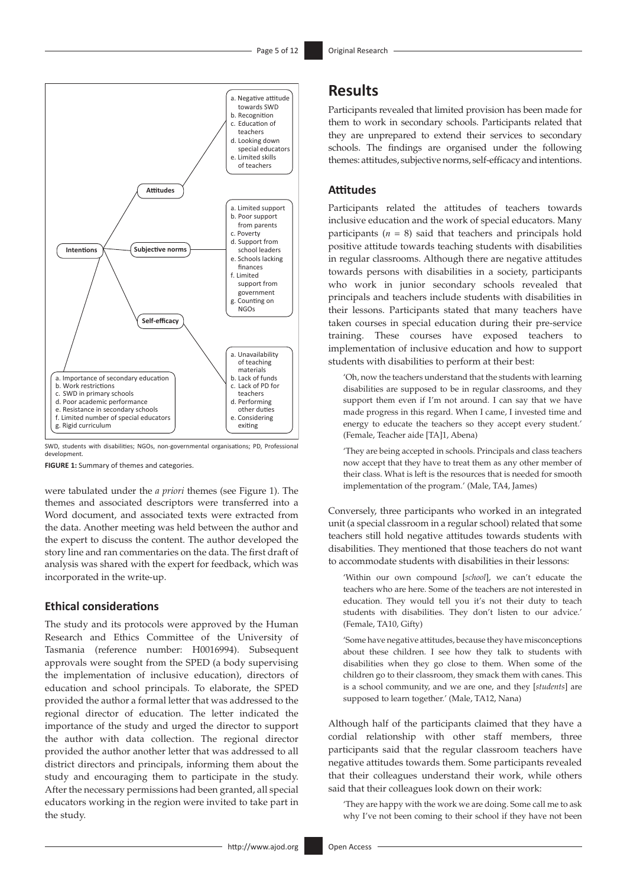

SWD, students with disabilities; NGOs, non-governmental organisations; PD, Professional development.

**FIGURE 1:** Summary of themes and categories.

were tabulated under the *a priori* themes (see Figure 1). The themes and associated descriptors were transferred into a Word document, and associated texts were extracted from the data. Another meeting was held between the author and the expert to discuss the content. The author developed the story line and ran commentaries on the data. The first draft of analysis was shared with the expert for feedback, which was incorporated in the write-up.

### **Ethical considerations**

The study and its protocols were approved by the Human Research and Ethics Committee of the University of Tasmania (reference number: H0016994). Subsequent approvals were sought from the SPED (a body supervising the implementation of inclusive education), directors of education and school principals. To elaborate, the SPED provided the author a formal letter that was addressed to the regional director of education. The letter indicated the importance of the study and urged the director to support the author with data collection. The regional director provided the author another letter that was addressed to all district directors and principals, informing them about the study and encouraging them to participate in the study. After the necessary permissions had been granted, all special educators working in the region were invited to take part in the study.

Participants revealed that limited provision has been made for them to work in secondary schools. Participants related that they are unprepared to extend their services to secondary schools. The findings are organised under the following themes: attitudes, subjective norms, self-efficacy and intentions.

### **Attitudes**

Participants related the attitudes of teachers towards inclusive education and the work of special educators. Many participants (*n* = 8) said that teachers and principals hold positive attitude towards teaching students with disabilities in regular classrooms. Although there are negative attitudes towards persons with disabilities in a society, participants who work in junior secondary schools revealed that principals and teachers include students with disabilities in their lessons. Participants stated that many teachers have taken courses in special education during their pre-service training. These courses have exposed teachers to implementation of inclusive education and how to support students with disabilities to perform at their best:

'Oh, now the teachers understand that the students with learning disabilities are supposed to be in regular classrooms, and they support them even if I'm not around. I can say that we have made progress in this regard. When I came, I invested time and energy to educate the teachers so they accept every student.' (Female, Teacher aide [TA]1, Abena)

'They are being accepted in schools. Principals and class teachers now accept that they have to treat them as any other member of their class. What is left is the resources that is needed for smooth implementation of the program.' (Male, TA4, James)

Conversely, three participants who worked in an integrated unit (a special classroom in a regular school) related that some teachers still hold negative attitudes towards students with disabilities. They mentioned that those teachers do not want to accommodate students with disabilities in their lessons:

'Within our own compound [*school*], we can't educate the teachers who are here. Some of the teachers are not interested in education. They would tell you it's not their duty to teach students with disabilities. They don't listen to our advice.' (Female, TA10, Gifty)

'Some have negative attitudes, because they have misconceptions about these children. I see how they talk to students with disabilities when they go close to them. When some of the children go to their classroom, they smack them with canes. This is a school community, and we are one, and they [*students*] are supposed to learn together.' (Male, TA12, Nana)

Although half of the participants claimed that they have a cordial relationship with other staff members, three participants said that the regular classroom teachers have negative attitudes towards them. Some participants revealed that their colleagues understand their work, while others said that their colleagues look down on their work:

'They are happy with the work we are doing. Some call me to ask why I've not been coming to their school if they have not been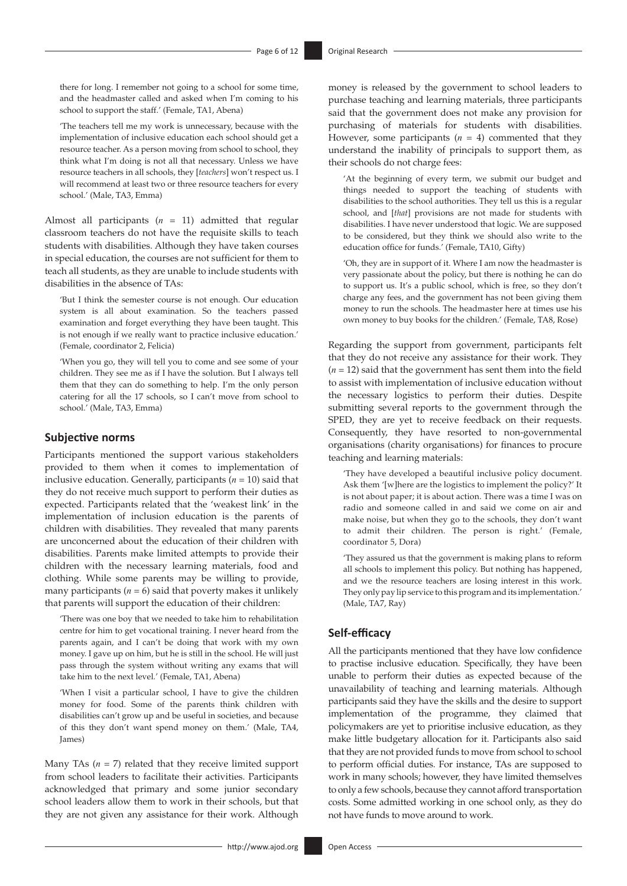there for long. I remember not going to a school for some time, and the headmaster called and asked when I'm coming to his school to support the staff.' (Female, TA1, Abena)

'The teachers tell me my work is unnecessary, because with the implementation of inclusive education each school should get a resource teacher. As a person moving from school to school, they think what I'm doing is not all that necessary. Unless we have resource teachers in all schools, they [*teachers*] won't respect us. I will recommend at least two or three resource teachers for every school.' (Male, TA3, Emma)

Almost all participants (*n* = 11) admitted that regular classroom teachers do not have the requisite skills to teach students with disabilities. Although they have taken courses in special education, the courses are not sufficient for them to teach all students, as they are unable to include students with disabilities in the absence of TAs:

'But I think the semester course is not enough. Our education system is all about examination. So the teachers passed examination and forget everything they have been taught. This is not enough if we really want to practice inclusive education.' (Female, coordinator 2, Felicia)

'When you go, they will tell you to come and see some of your children. They see me as if I have the solution. But I always tell them that they can do something to help. I'm the only person catering for all the 17 schools, so I can't move from school to school.' (Male, TA3, Emma)

#### **Subjective norms**

Participants mentioned the support various stakeholders provided to them when it comes to implementation of inclusive education. Generally, participants (*n* = 10) said that they do not receive much support to perform their duties as expected. Participants related that the 'weakest link' in the implementation of inclusion education is the parents of children with disabilities. They revealed that many parents are unconcerned about the education of their children with disabilities. Parents make limited attempts to provide their children with the necessary learning materials, food and clothing. While some parents may be willing to provide, many participants  $(n = 6)$  said that poverty makes it unlikely that parents will support the education of their children:

'There was one boy that we needed to take him to rehabilitation centre for him to get vocational training. I never heard from the parents again, and I can't be doing that work with my own money. I gave up on him, but he is still in the school. He will just pass through the system without writing any exams that will take him to the next level.' (Female, TA1, Abena)

'When I visit a particular school, I have to give the children money for food. Some of the parents think children with disabilities can't grow up and be useful in societies, and because of this they don't want spend money on them.' (Male, TA4, James)

Many TAs  $(n = 7)$  related that they receive limited support from school leaders to facilitate their activities. Participants acknowledged that primary and some junior secondary school leaders allow them to work in their schools, but that they are not given any assistance for their work. Although

money is released by the government to school leaders to purchase teaching and learning materials, three participants said that the government does not make any provision for purchasing of materials for students with disabilities. However, some participants  $(n = 4)$  commented that they understand the inability of principals to support them, as their schools do not charge fees:

'At the beginning of every term, we submit our budget and things needed to support the teaching of students with disabilities to the school authorities. They tell us this is a regular school, and [*that*] provisions are not made for students with disabilities. I have never understood that logic. We are supposed to be considered, but they think we should also write to the education office for funds.' (Female, TA10, Gifty)

'Oh, they are in support of it. Where I am now the headmaster is very passionate about the policy, but there is nothing he can do to support us. It's a public school, which is free, so they don't charge any fees, and the government has not been giving them money to run the schools. The headmaster here at times use his own money to buy books for the children.' (Female, TA8, Rose)

Regarding the support from government, participants felt that they do not receive any assistance for their work. They  $(n = 12)$  said that the government has sent them into the field to assist with implementation of inclusive education without the necessary logistics to perform their duties. Despite submitting several reports to the government through the SPED, they are yet to receive feedback on their requests. Consequently, they have resorted to non-governmental organisations (charity organisations) for finances to procure teaching and learning materials:

'They have developed a beautiful inclusive policy document. Ask them '[w]here are the logistics to implement the policy?' It is not about paper; it is about action. There was a time I was on radio and someone called in and said we come on air and make noise, but when they go to the schools, they don't want to admit their children. The person is right.' (Female, coordinator 5, Dora)

'They assured us that the government is making plans to reform all schools to implement this policy. But nothing has happened, and we the resource teachers are losing interest in this work. They only pay lip service to this program and its implementation.' (Male, TA7, Ray)

#### **Self-efficacy**

All the participants mentioned that they have low confidence to practise inclusive education. Specifically, they have been unable to perform their duties as expected because of the unavailability of teaching and learning materials. Although participants said they have the skills and the desire to support implementation of the programme, they claimed that policymakers are yet to prioritise inclusive education, as they make little budgetary allocation for it. Participants also said that they are not provided funds to move from school to school to perform official duties. For instance, TAs are supposed to work in many schools; however, they have limited themselves to only a few schools, because they cannot afford transportation costs. Some admitted working in one school only, as they do not have funds to move around to work.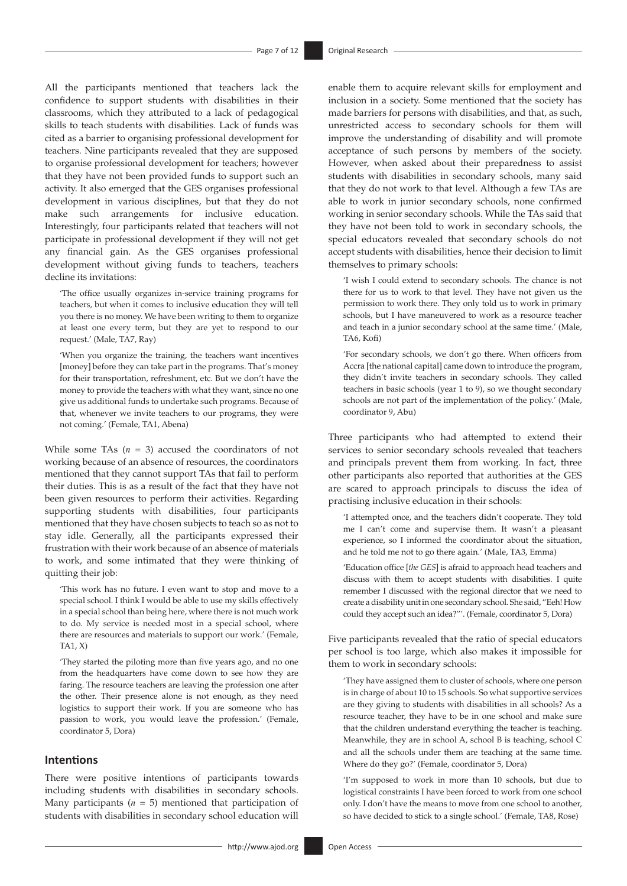All the participants mentioned that teachers lack the confidence to support students with disabilities in their classrooms, which they attributed to a lack of pedagogical skills to teach students with disabilities. Lack of funds was cited as a barrier to organising professional development for teachers. Nine participants revealed that they are supposed to organise professional development for teachers; however that they have not been provided funds to support such an activity. It also emerged that the GES organises professional development in various disciplines, but that they do not make such arrangements for inclusive education. Interestingly, four participants related that teachers will not participate in professional development if they will not get any financial gain. As the GES organises professional development without giving funds to teachers, teachers decline its invitations:

'The office usually organizes in-service training programs for teachers, but when it comes to inclusive education they will tell you there is no money. We have been writing to them to organize at least one every term, but they are yet to respond to our request.' (Male, TA7, Ray)

'When you organize the training, the teachers want incentives [money] before they can take part in the programs. That's money for their transportation, refreshment, etc. But we don't have the money to provide the teachers with what they want, since no one give us additional funds to undertake such programs. Because of that, whenever we invite teachers to our programs, they were not coming.' (Female, TA1, Abena)

While some TAs  $(n = 3)$  accused the coordinators of not working because of an absence of resources, the coordinators mentioned that they cannot support TAs that fail to perform their duties. This is as a result of the fact that they have not been given resources to perform their activities. Regarding supporting students with disabilities, four participants mentioned that they have chosen subjects to teach so as not to stay idle. Generally, all the participants expressed their frustration with their work because of an absence of materials to work, and some intimated that they were thinking of quitting their job:

'This work has no future. I even want to stop and move to a special school. I think I would be able to use my skills effectively in a special school than being here, where there is not much work to do. My service is needed most in a special school, where there are resources and materials to support our work.' (Female, TA1, X)

'They started the piloting more than five years ago, and no one from the headquarters have come down to see how they are faring. The resource teachers are leaving the profession one after the other. Their presence alone is not enough, as they need logistics to support their work. If you are someone who has passion to work, you would leave the profession.' (Female, coordinator 5, Dora)

#### **Intentions**

There were positive intentions of participants towards including students with disabilities in secondary schools. Many participants  $(n = 5)$  mentioned that participation of students with disabilities in secondary school education will

enable them to acquire relevant skills for employment and inclusion in a society. Some mentioned that the society has made barriers for persons with disabilities, and that, as such, unrestricted access to secondary schools for them will improve the understanding of disability and will promote acceptance of such persons by members of the society. However, when asked about their preparedness to assist students with disabilities in secondary schools, many said that they do not work to that level. Although a few TAs are able to work in junior secondary schools, none confirmed working in senior secondary schools. While the TAs said that they have not been told to work in secondary schools, the special educators revealed that secondary schools do not accept students with disabilities, hence their decision to limit themselves to primary schools:

'I wish I could extend to secondary schools. The chance is not there for us to work to that level. They have not given us the permission to work there. They only told us to work in primary schools, but I have maneuvered to work as a resource teacher and teach in a junior secondary school at the same time.' (Male, TA6, Kofi)

'For secondary schools, we don't go there. When officers from Accra [the national capital] came down to introduce the program, they didn't invite teachers in secondary schools. They called teachers in basic schools (year 1 to 9), so we thought secondary schools are not part of the implementation of the policy.' (Male, coordinator 9, Abu)

Three participants who had attempted to extend their services to senior secondary schools revealed that teachers and principals prevent them from working. In fact, three other participants also reported that authorities at the GES are scared to approach principals to discuss the idea of practising inclusive education in their schools:

'I attempted once, and the teachers didn't cooperate. They told me I can't come and supervise them. It wasn't a pleasant experience, so I informed the coordinator about the situation, and he told me not to go there again.' (Male, TA3, Emma)

'Education office [*the GES*] is afraid to approach head teachers and discuss with them to accept students with disabilities. I quite remember I discussed with the regional director that we need to create a disability unit in one secondary school. She said, "Eeh! How could they accept such an idea?"'. (Female, coordinator 5, Dora)

Five participants revealed that the ratio of special educators per school is too large, which also makes it impossible for them to work in secondary schools:

'They have assigned them to cluster of schools, where one person is in charge of about 10 to 15 schools. So what supportive services are they giving to students with disabilities in all schools? As a resource teacher, they have to be in one school and make sure that the children understand everything the teacher is teaching. Meanwhile, they are in school A, school B is teaching, school C and all the schools under them are teaching at the same time. Where do they go?' (Female, coordinator 5, Dora)

'I'm supposed to work in more than 10 schools, but due to logistical constraints I have been forced to work from one school only. I don't have the means to move from one school to another, so have decided to stick to a single school.' (Female, TA8, Rose)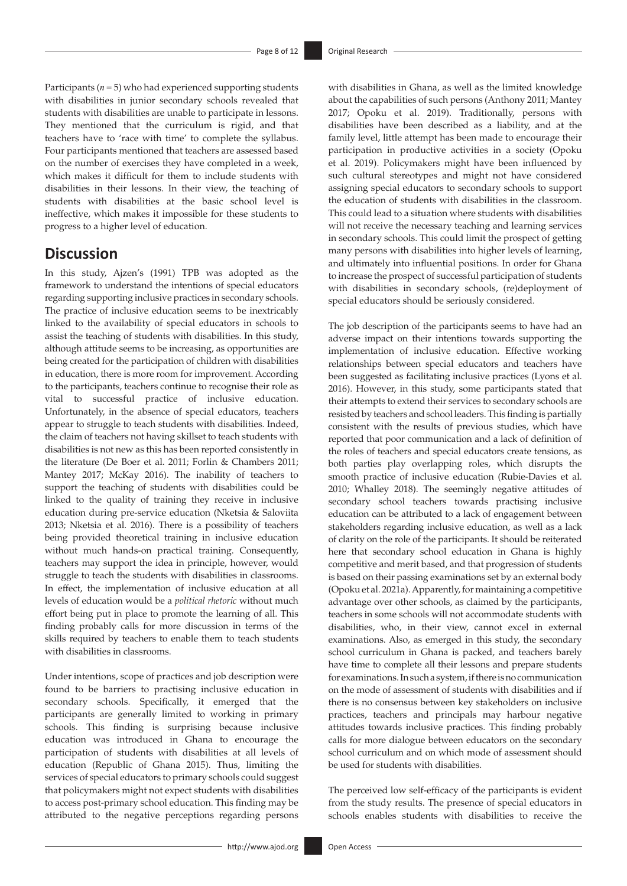Participants  $(n = 5)$  who had experienced supporting students with disabilities in junior secondary schools revealed that students with disabilities are unable to participate in lessons. They mentioned that the curriculum is rigid, and that teachers have to 'race with time' to complete the syllabus. Four participants mentioned that teachers are assessed based on the number of exercises they have completed in a week, which makes it difficult for them to include students with disabilities in their lessons. In their view, the teaching of students with disabilities at the basic school level is ineffective, which makes it impossible for these students to progress to a higher level of education.

### **Discussion**

In this study, Ajzen's (1991) TPB was adopted as the framework to understand the intentions of special educators regarding supporting inclusive practices in secondary schools. The practice of inclusive education seems to be inextricably linked to the availability of special educators in schools to assist the teaching of students with disabilities. In this study, although attitude seems to be increasing, as opportunities are being created for the participation of children with disabilities in education, there is more room for improvement. According to the participants, teachers continue to recognise their role as vital to successful practice of inclusive education. Unfortunately, in the absence of special educators, teachers appear to struggle to teach students with disabilities. Indeed, the claim of teachers not having skillset to teach students with disabilities is not new as this has been reported consistently in the literature (De Boer et al. 2011; Forlin & Chambers 2011; Mantey 2017; McKay 2016). The inability of teachers to support the teaching of students with disabilities could be linked to the quality of training they receive in inclusive education during pre-service education (Nketsia & Saloviita 2013; Nketsia et al. 2016). There is a possibility of teachers being provided theoretical training in inclusive education without much hands-on practical training. Consequently, teachers may support the idea in principle, however, would struggle to teach the students with disabilities in classrooms. In effect, the implementation of inclusive education at all levels of education would be a *political rhetoric* without much effort being put in place to promote the learning of all. This finding probably calls for more discussion in terms of the skills required by teachers to enable them to teach students with disabilities in classrooms.

Under intentions, scope of practices and job description were found to be barriers to practising inclusive education in secondary schools. Specifically, it emerged that the participants are generally limited to working in primary schools. This finding is surprising because inclusive education was introduced in Ghana to encourage the participation of students with disabilities at all levels of education (Republic of Ghana 2015). Thus, limiting the services of special educators to primary schools could suggest that policymakers might not expect students with disabilities to access post-primary school education. This finding may be attributed to the negative perceptions regarding persons with disabilities in Ghana, as well as the limited knowledge about the capabilities of such persons (Anthony 2011; Mantey 2017; Opoku et al. 2019). Traditionally, persons with disabilities have been described as a liability, and at the family level, little attempt has been made to encourage their participation in productive activities in a society (Opoku et al. 2019). Policymakers might have been influenced by such cultural stereotypes and might not have considered assigning special educators to secondary schools to support the education of students with disabilities in the classroom. This could lead to a situation where students with disabilities will not receive the necessary teaching and learning services in secondary schools. This could limit the prospect of getting many persons with disabilities into higher levels of learning, and ultimately into influential positions. In order for Ghana to increase the prospect of successful participation of students with disabilities in secondary schools, (re)deployment of special educators should be seriously considered.

The job description of the participants seems to have had an adverse impact on their intentions towards supporting the implementation of inclusive education. Effective working relationships between special educators and teachers have been suggested as facilitating inclusive practices (Lyons et al. 2016). However, in this study, some participants stated that their attempts to extend their services to secondary schools are resisted by teachers and school leaders. This finding is partially consistent with the results of previous studies, which have reported that poor communication and a lack of definition of the roles of teachers and special educators create tensions, as both parties play overlapping roles, which disrupts the smooth practice of inclusive education (Rubie-Davies et al. 2010; Whalley 2018). The seemingly negative attitudes of secondary school teachers towards practising inclusive education can be attributed to a lack of engagement between stakeholders regarding inclusive education, as well as a lack of clarity on the role of the participants. It should be reiterated here that secondary school education in Ghana is highly competitive and merit based, and that progression of students is based on their passing examinations set by an external body (Opoku et al. 2021a). Apparently, for maintaining a competitive advantage over other schools, as claimed by the participants, teachers in some schools will not accommodate students with disabilities, who, in their view, cannot excel in external examinations. Also, as emerged in this study, the secondary school curriculum in Ghana is packed, and teachers barely have time to complete all their lessons and prepare students for examinations. In such a system, if there is no communication on the mode of assessment of students with disabilities and if there is no consensus between key stakeholders on inclusive practices, teachers and principals may harbour negative attitudes towards inclusive practices. This finding probably calls for more dialogue between educators on the secondary school curriculum and on which mode of assessment should be used for students with disabilities.

The perceived low self-efficacy of the participants is evident from the study results. The presence of special educators in schools enables students with disabilities to receive the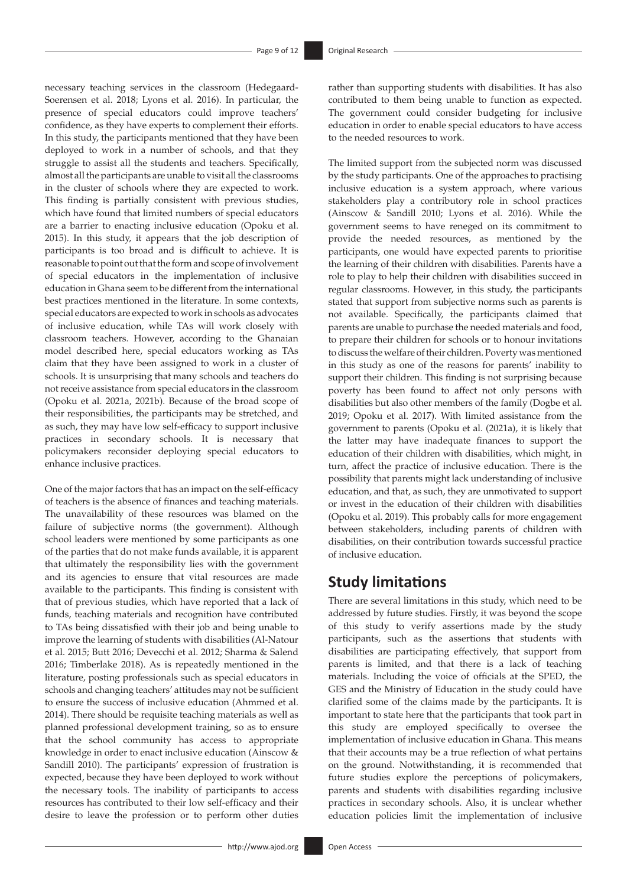necessary teaching services in the classroom (Hedegaard-Soerensen et al. 2018; Lyons et al. 2016). In particular, the presence of special educators could improve teachers' confidence, as they have experts to complement their efforts. In this study, the participants mentioned that they have been deployed to work in a number of schools, and that they struggle to assist all the students and teachers. Specifically, almost all the participants are unable to visit all the classrooms in the cluster of schools where they are expected to work. This finding is partially consistent with previous studies, which have found that limited numbers of special educators are a barrier to enacting inclusive education (Opoku et al. 2015). In this study, it appears that the job description of participants is too broad and is difficult to achieve. It is reasonable to point out that the form and scope of involvement of special educators in the implementation of inclusive education in Ghana seem to be different from the international best practices mentioned in the literature. In some contexts, special educators are expected to work in schools as advocates of inclusive education, while TAs will work closely with classroom teachers. However, according to the Ghanaian model described here, special educators working as TAs claim that they have been assigned to work in a cluster of schools. It is unsurprising that many schools and teachers do not receive assistance from special educators in the classroom (Opoku et al. 2021a, 2021b). Because of the broad scope of their responsibilities, the participants may be stretched, and as such, they may have low self-efficacy to support inclusive practices in secondary schools. It is necessary that policymakers reconsider deploying special educators to enhance inclusive practices.

One of the major factors that has an impact on the self-efficacy of teachers is the absence of finances and teaching materials. The unavailability of these resources was blamed on the failure of subjective norms (the government). Although school leaders were mentioned by some participants as one of the parties that do not make funds available, it is apparent that ultimately the responsibility lies with the government and its agencies to ensure that vital resources are made available to the participants. This finding is consistent with that of previous studies, which have reported that a lack of funds, teaching materials and recognition have contributed to TAs being dissatisfied with their job and being unable to improve the learning of students with disabilities (Al-Natour et al. 2015; Butt 2016; Devecchi et al. 2012; Sharma & Salend 2016; Timberlake 2018). As is repeatedly mentioned in the literature, posting professionals such as special educators in schools and changing teachers' attitudes may not be sufficient to ensure the success of inclusive education (Ahmmed et al. 2014). There should be requisite teaching materials as well as planned professional development training, so as to ensure that the school community has access to appropriate knowledge in order to enact inclusive education (Ainscow & Sandill 2010). The participants' expression of frustration is expected, because they have been deployed to work without the necessary tools. The inability of participants to access resources has contributed to their low self-efficacy and their desire to leave the profession or to perform other duties rather than supporting students with disabilities. It has also contributed to them being unable to function as expected. The government could consider budgeting for inclusive education in order to enable special educators to have access to the needed resources to work.

The limited support from the subjected norm was discussed by the study participants. One of the approaches to practising inclusive education is a system approach, where various stakeholders play a contributory role in school practices (Ainscow & Sandill 2010; Lyons et al. 2016). While the government seems to have reneged on its commitment to provide the needed resources, as mentioned by the participants, one would have expected parents to prioritise the learning of their children with disabilities. Parents have a role to play to help their children with disabilities succeed in regular classrooms. However, in this study, the participants stated that support from subjective norms such as parents is not available. Specifically, the participants claimed that parents are unable to purchase the needed materials and food, to prepare their children for schools or to honour invitations to discuss the welfare of their children. Poverty was mentioned in this study as one of the reasons for parents' inability to support their children. This finding is not surprising because poverty has been found to affect not only persons with disabilities but also other members of the family (Dogbe et al. 2019; Opoku et al. 2017). With limited assistance from the government to parents (Opoku et al. (2021a), it is likely that the latter may have inadequate finances to support the education of their children with disabilities, which might, in turn, affect the practice of inclusive education. There is the possibility that parents might lack understanding of inclusive education, and that, as such, they are unmotivated to support or invest in the education of their children with disabilities (Opoku et al. 2019). This probably calls for more engagement between stakeholders, including parents of children with disabilities, on their contribution towards successful practice of inclusive education.

# **Study limitations**

There are several limitations in this study, which need to be addressed by future studies. Firstly, it was beyond the scope of this study to verify assertions made by the study participants, such as the assertions that students with disabilities are participating effectively, that support from parents is limited, and that there is a lack of teaching materials. Including the voice of officials at the SPED, the GES and the Ministry of Education in the study could have clarified some of the claims made by the participants. It is important to state here that the participants that took part in this study are employed specifically to oversee the implementation of inclusive education in Ghana. This means that their accounts may be a true reflection of what pertains on the ground. Notwithstanding, it is recommended that future studies explore the perceptions of policymakers, parents and students with disabilities regarding inclusive practices in secondary schools. Also, it is unclear whether education policies limit the implementation of inclusive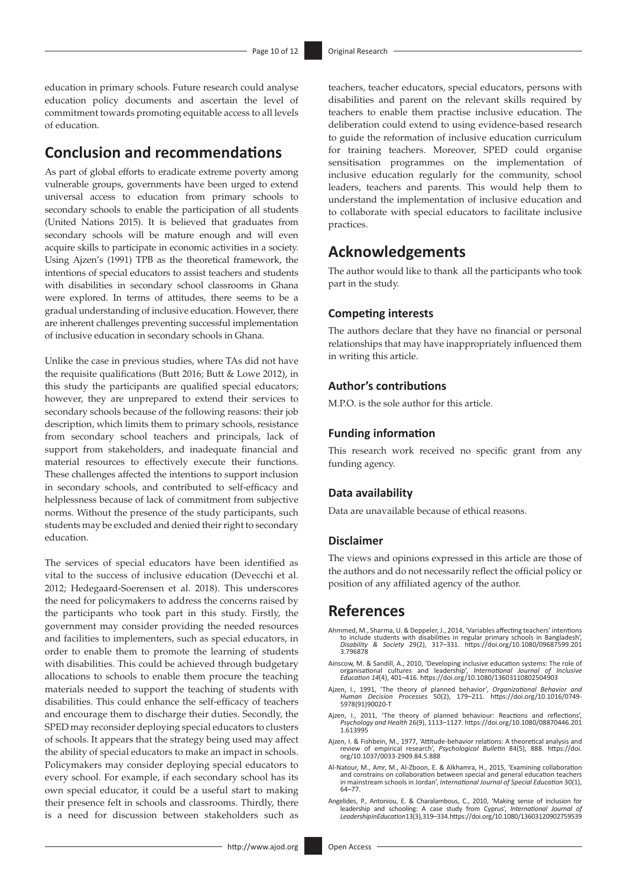education in primary schools. Future research could analyse education policy documents and ascertain the level of commitment towards promoting equitable access to all levels of education.

### **Conclusion and recommendations**

As part of global efforts to eradicate extreme poverty among vulnerable groups, governments have been urged to extend universal access to education from primary schools to secondary schools to enable the participation of all students (United Nations 2015). It is believed that graduates from secondary schools will be mature enough and will even acquire skills to participate in economic activities in a society. Using Ajzen's (1991) TPB as the theoretical framework, the intentions of special educators to assist teachers and students with disabilities in secondary school classrooms in Ghana were explored. In terms of attitudes, there seems to be a gradual understanding of inclusive education. However, there are inherent challenges preventing successful implementation of inclusive education in secondary schools in Ghana.

Unlike the case in previous studies, where TAs did not have the requisite qualifications (Butt 2016; Butt & Lowe 2012), in this study the participants are qualified special educators; however, they are unprepared to extend their services to secondary schools because of the following reasons: their job description, which limits them to primary schools, resistance from secondary school teachers and principals, lack of support from stakeholders, and inadequate financial and material resources to effectively execute their functions. These challenges affected the intentions to support inclusion in secondary schools, and contributed to self-efficacy and helplessness because of lack of commitment from subjective norms. Without the presence of the study participants, such students may be excluded and denied their right to secondary education.

The services of special educators have been identified as vital to the success of inclusive education (Devecchi et al. 2012; Hedegaard-Soerensen et al. 2018). This underscores the need for policymakers to address the concerns raised by the participants who took part in this study. Firstly, the government may consider providing the needed resources and facilities to implementers, such as special educators, in order to enable them to promote the learning of students with disabilities. This could be achieved through budgetary allocations to schools to enable them procure the teaching materials needed to support the teaching of students with disabilities. This could enhance the self-efficacy of teachers and encourage them to discharge their duties. Secondly, the SPED may reconsider deploying special educators to clusters of schools. It appears that the strategy being used may affect the ability of special educators to make an impact in schools. Policymakers may consider deploying special educators to every school. For example, if each secondary school has its own special educator, it could be a useful start to making their presence felt in schools and classrooms. Thirdly, there is a need for discussion between stakeholders such as

teachers, teacher educators, special educators, persons with disabilities and parent on the relevant skills required by teachers to enable them practise inclusive education. The deliberation could extend to using evidence-based research to guide the reformation of inclusive education curriculum for training teachers. Moreover, SPED could organise sensitisation programmes on the implementation of inclusive education regularly for the community, school leaders, teachers and parents. This would help them to understand the implementation of inclusive education and to collaborate with special educators to facilitate inclusive practices.

# **Acknowledgements**

The author would like to thank all the participants who took part in the study.

#### **Competing interests**

The authors declare that they have no financial or personal relationships that may have inappropriately influenced them in writing this article.

#### **Author's contributions**

M.P.O. is the sole author for this article.

### **Funding information**

This research work received no specific grant from any funding agency.

#### **Data availability**

Data are unavailable because of ethical reasons.

#### **Disclaimer**

The views and opinions expressed in this article are those of the authors and do not necessarily reflect the official policy or position of any affiliated agency of the author.

# **References**

- Ahmmed, M., Sharma, U. & Deppeler, J., 2014, 'Variables affecting teachers' intentions<br>to include students with disabilities in regular primary schools in Bangladesh',<br>Disability & Society 29(2), 317–331. https://doi.org/1
- Ainscow, M. & Sandill, A., 2010, 'Developing inclusive education systems: The role of<br>organisational cultures and leadership', International Journal of Inclusive<br>Education 14(4), 401-416. https://doi.org/10.1080/1360311080
- Ajzen, I., 1991, 'The theory of planned behavior', *Organizational Behavior and Human Decision Processes* 50(2), 179–211. [https://doi.org/10.1016/0749-](https://doi.org/10.1016/0749-5978(91)90020-T) [5978\(91\)90020-T](https://doi.org/10.1016/0749-5978(91)90020-T)
- Ajzen, I., 2011, 'The theory of planned behaviour: Reactions and reflections', *Psychology and Health* 26(9), 1113–1127. [https://doi.org/10.1080/08870446.201](https://doi.org/10.1080/08870446.2011.613995) [1.613995](https://doi.org/10.1080/08870446.2011.613995)
- Ajzen, I. & Fishbein, M., 1977, 'Attitude-behavior relations: A theoretical analysis and review of empirical research', *Psychological Bulletin* 84(5), 888. [https://doi.](https://doi.org/10.1037/0033-2909.84.5.888) [org/10.1037/0033-2909.84.5.888](https://doi.org/10.1037/0033-2909.84.5.888)
- Al-Natour, M., Amr, M., Al-Zboon, E. & Alkhamra, H., 2015, 'Examining collaboration and constrains on collaboration between special and general education teachers in mainstream schools in Jordan', *International Journal of Special Education* 30(1), 64–77.
- Angelides, P., Antoniou, E. & Charalambous, C., 2010, 'Making sense of inclusion for<br>leadership and schooling: A case study from Cyprus', International Journal of<br>LeadershipinEducation13(3),319-334.https://doi.org/10.1080/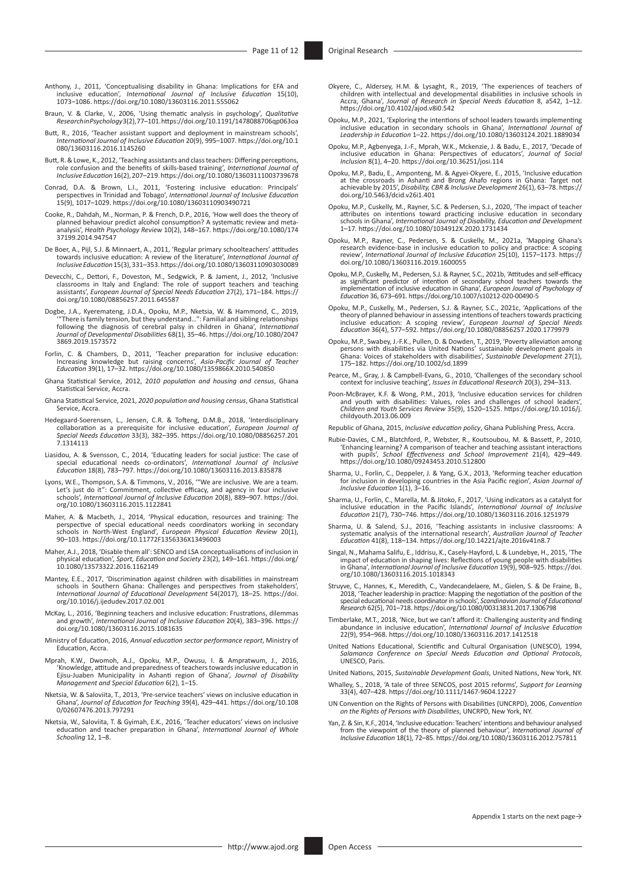- Anthony, J., 2011, 'Conceptualising disability in Ghana: Implications for EFA and inclusive education', *International Journal of Inclusive Education* 15(10), 1073–1086.<https://doi.org/10.1080/13603116.2011.555062>
- Braun, V. & Clarke, V., 2006, 'Using thematic analysis in psychology', *Qualitative Research in Psychology* 3(2), 77–101.<https://doi.org/10.1191/1478088706qp063oa>
- Butt, R., 2016, 'Teacher assistant support and deployment in mainstream schools', *International Journal of Inclusive Education* 20(9), 995–1007. [https://doi.org/10.1](https://doi.org/10.1080/13603116.2016.1145260) [080/13603116.2016.1145260](https://doi.org/10.1080/13603116.2016.1145260)
- Butt, R. & Lowe, K., 2012, 'Teaching assistants and class teachers: Differing perceptions, role confusion and the benefits of skills-based training', *International Journal of Inclusive Education* 16(2), 207–219.<https://doi.org/10.1080/13603111003739678>
- Conrad, D.A. & Brown, L.I., 2011, 'Fostering inclusive education: Principals'<br>perspectives in Trinidad and Tobago', International Journal of Inclusive Education<br>15(9), 1017–1029.<https://doi.org/10.1080/13603110903490721>
- Cooke, R., Dahdah, M., Norman, P. & French, D.P., 2016, 'How well does the theory of planned behaviour predict alcohol consumption? A systematic review and metaanalysis', *Health Psychology Review* 10(2), 148–167. [https://doi.org/10.1080/174](https://doi.org/10.1080/17437199.2014.947547) [37199.2014.947547](https://doi.org/10.1080/17437199.2014.947547)
- De Boer, A., Pijl, S.J. & Minnaert, A., 2011, 'Regular primary schoolteachers' attitudes towards inclusive education: A review of the literature', *International Journal of Inclusive Education* 15(3), 331–353.<https://doi.org/10.1080/13603110903030089>
- Devecchi, C., Dettori, F., Doveston, M., Sedgwick, P. & Jament, J., 2012, 'Inclusive classrooms in Italy and England: The role of support teachers and teaching assistants', *European Journal of Special Needs Education* 27(2), 171–184. [https://](https://doi.org/10.1080/08856257.2011.645587) [doi.org/10.1080/08856257.2011.645587](https://doi.org/10.1080/08856257.2011.645587)
- Dogbe, J.A., Kyeremateng, J.D.A., Opoku, M.P., Nketsia, W. & Hammond, C., 2019,<br>"There is family tension, but they understand...". Familial and sibling relationships<br>following the diagnosis of cerebral palsy in children in [3869.2019.1573572](https://doi.org/10.1080/20473869.2019.1573572)
- Forlin, C. & Chambers, D., 2011, 'Teacher preparation for inclusive education:<br>Increasing knowledge but raising concerns', Asia-Pacific Journal of Teacher<br>Education 39(1), 17–32. https://doi.org/10.1080/1359866X.2010.54085
- Ghana Statistical Service, 2012, 2*010 population and housing and census*, Ghana Statistical Service, Accra.
- Ghana Statistical Service, 2021, *2020 population and housing census*, Ghana Statistical Service, Accra.
- Hedegaard-Soerensen, L., Jensen, C.R. & Tofteng, D.M.B., 2018, 'Interdisciplinary collaboration as a prerequisite for inclusive education', *European Journal of Special Needs Education* 33(3), 382–395. [https://doi.org/10.1080/08856257.201](https://doi.org/10.1080/08856257.2017.1314113) [7.1314113](https://doi.org/10.1080/08856257.2017.1314113)
- Liasidou, A. & Svensson, C., 2014, 'Educating leaders for social justice: The case of<br>special educational needs co-ordinators', International Journal of Inclusive<br>Education 18(8), 783–797. https://doi.org/10.1080/13603116.
- Lyons, W.E., Thompson, S.A. & Timmons, V., 2016, '"We are inclusive. We are a team. Let's just do it": Commitment, collective efficacy, and agency in four inclusive schools', *International Journal of Inclusive Education* 20(8), 889–907. [https://doi.](https://doi.org/10.1080/13603116.2015.1122841) [org/10.1080/13603116.2015.1122841](https://doi.org/10.1080/13603116.2015.1122841)
- Maher, A. & Macbeth, J., 2014, 'Physical education, resources and training: The perspective of special educational needs coordinators working in secondary schools in North-West England', *European Physical Education Review* 20(1), 90–103.<https://doi.org/10.11772F1356336X13496003>
- Maher, A.J., 2018, 'Disable them all': SENCO and LSA conceptualisations of inclusion in physical education', *Sport, Education and Society* 23(2), 149–161. [https://doi.org/](https://doi.org/10.1080/13573322.2016.1162149) [10.1080/13573322.2016.1162149](https://doi.org/10.1080/13573322.2016.1162149)
- Mantey, E.E., 2017, 'Discrimination against children with disabilities in mainstream schools in Southern Ghana: Challenges and perspectives from stakeholders', *International Journal of Educational Development* 54(2017), 18–25. [https://doi.](https://doi.org/10.1016/j.ijedudev.2017.02.001) [org/10.1016/j.ijedudev.2017.02.001](https://doi.org/10.1016/j.ijedudev.2017.02.001)
- McKay, L., 2016, 'Beginning teachers and inclusive education: Frustrations, dilemmas and growth', *International Journal of Inclusive Education* 20(4), 383–396. [https://](https://doi.org/10.1080/13603116.2015.1081635) [doi.org/10.1080/13603116.2015.1081635](https://doi.org/10.1080/13603116.2015.1081635)
- Ministry of Education, 2016, *Annual education sector performance report*, Ministry of Education, Accra.
- Mprah, K.W., Dwomoh, A.J., Opoku, M.P., Owusu, I. & Ampratwum, J., 2016,<br>Knowledge, attitude and preparedness of teachers towards inclusive education in<br>Ejisu-Juaben Municipality in Ashanti region of Ghana', Journal of Dis *Management and Special Education* 6(2), 1–15.
- Nketsia, W. & Saloviita, T., 2013, 'Pre-service teachers' views on inclusive education in Ghana', *Journal of Education for Teaching* 39(4), 429–441. [https://doi.org/10.108](https://doi.org/10.1080/02607476.2013.797291) [0/02607476.2013.797291](https://doi.org/10.1080/02607476.2013.797291)
- Nketsia, W., Saloviita, T. & Gyimah, E.K., 2016, 'Teacher educators' views on inclusive education and teacher preparation in Ghana', *International Journal of Whole Schooling* 12, 1–8.
- Okyere, C., Aldersey, H.M. & Lysaght, R., 2019, 'The experiences of teachers of<br>children with intellectual and developmental disabilities in inclusive schools in<br>Accra, Ghana', Journal of Research in Special Needs Educatio <https://doi.org/10.4102/ajod.v8i0.542>
- Opoku, M.P., 2021, 'Exploring the intentions of school leaders towards implementing inclusive education in secondary schools in Ghana', *International Journal of Leadership in Education* 1–22.<https://doi.org/10.1080/13603124.2021.1889034>
- Opoku, M.P., Agbenyega, J.-F., Mprah, W.K., Mckenzie, J. & Badu, E., 2017, 'Decade of inclusive education in Ghana: Perspectives of educators', *Journal of Social Inclusion* 8(1), 4–20. <https://doi.org/10.36251/josi.114>
- Opoku, M.P., Badu, E., Amponteng, M. & Agyei-Okyere, E., 2015, 'Inclusive education<br>at the crossroads in Ashanti and Brong Ahafo regions in Ghana: Target not<br>achievable by 2015', Disability, CBR & Inclusive Development 26( [doi.org/10.5463/dcid.v26i1.401](https://doi.org/10.5463/dcid.v26i1.401)
- Opoku, M.P., Cuskelly, M., Rayner, S.C. & Pedersen, S.J., 2020, 'The impact of teacher<br>attributes on intentions toward practicing inclusive education<br>schools in Ghana', *International Journal of Disability, Education and D* 1–17*.* <https://doi.org/10.1080/1034912X.2020.1731434>
- Opoku, M.P., Rayner, C., Pedersen, S. & Cuskelly, M., 2021a, 'Mapping Ghana's<br>research evidence-base in inclusive education to policy and practice: A scoping<br>review', *International Journal of Inclusive Education* 25(10), [doi.org/10.1080/13603116.2019.1600055](https://doi.org/10.1080/13603116.2019.1600055)
- Opoku, M.P., Cuskelly, M., Pedersen, S.J. & Rayner, S.C., 2021b, 'Attitudes and self-efficacy<br>as significant predictor of intention of secondary school teachers towards the<br>implementation of inclusive education in Ghana',
- Opoku, M.P., Cuskelly, M., Pedersen, S.J. & Rayner, S.C., 2021c, 'Applications of the theory of planned behaviour in assessing intentions of teachers towards practicing<br>inclusive education: A scoping review′, European Journal of Special Needs<br>Education 36(4), 577–592. https://doi.org/10.1080
- Opoku, M.P., Swabey, J.-F.K., Pullen, D. & Dowden, T., 2019, 'Poverty alleviation among<br>persons with disabilities via United Nations' sustainable development goals in<br>Ghana: Voices of stakeholders with disabilities', Susta 175–182.<https://doi.org/10.1002/sd.1899>
- Pearce, M., Gray, J. & Campbell-Evans, G., 2010, 'Challenges of the secondary school context for inclusive teaching', *Issues in Educational Research* 20(3), 294–313.
- Poon-McBrayer, K.F. & Wong, P.M., 2013, 'Inclusive education services for children<br>and youth with disabilities: Values, roles and challenges of school leaders',<br>Children and Youth Services Review 35(9), 1520–1525. https:// [childyouth.2013.06.009](https://doi.org/10.1016/j.childyouth.2013.06.009)
- Republic of Ghana, 2015, *Inclusive education policy*, Ghana Publishing Press, Accra.
- Rubie-Davies, C.M., Blatchford, P., Webster, R., Koutsoubou, M. & Bassett, P., 2010, 'Enhancing learning? A comparison of teacher and teaching assistant interactions with pupils', *School Effectiveness and School Improvement* 21(4), 429–449. <https://doi.org/10.1080/09243453.2010.512800>
- Sharma, U., Forlin, C., Deppeler, J. & Yang, G.X., 2013, 'Reforming teacher education for inclusion in developing countries in the Asia Pacific region', *Asian Journal of Inclusive Education* 1(1), 3–16.
- Sharma, U., Forlin, C., Marella, M. & Jitoko, F., 2017, 'Using indicators as a catalyst for<br>inclusive education in the Pacific Islands', International Journal of Inclusive<br>Education 21(7), 730–746. https://doi.org/10.1080/
- Sharma, U. & Salend, S.J., 2016, 'Teaching assistants in inclusive classrooms: A systematic analysis of the international research', *Australian Journal of Teacher Education* 41(8), 118–134.<https://doi.org/10.14221/ajte.2016v41n8.7>
- Singal, N., Mahama Salifu, E., Iddrisu, K., Casely-Hayford, L. & Lundebye, H., 2015, 'The<br>impact of education in shaping lives: Reflections of young people with disabilities<br>in Ghana', *International Journal of Inclusive E* [org/10.1080/13603116.2015.1018343](https://doi.org/10.1080/13603116.2015.1018343)
- Struyve, C., Hannes, K., Meredith, C., Vandecandelaere, M., Gielen, S. & De Fraine, B., 2018, 'Teacher leadership in practice: Mapping the negotiation of the position of the special educational needs coordinator in schools', *Scandinavian Journal of Educational Research* 62(5), 701–718.<https://doi.org/10.1080/00313831.2017.1306798>
- Timberlake, M.T., 2018, 'Nice, but we can't afford it: Challenging austerity and finding abundance in inclusive education', *International Journal of Inclusive Education*  22(9), 954–968.<https://doi.org/10.1080/13603116.2017.1412518>
- United Nations Educational, Scientific and Cultural Organisation (UNESCO), 1994, *Salamanca Conference on Special Needs Education and Optional Protocols*, UNESCO, Paris.
- United Nations, 2015, *Sustainable Development Goals*, United Nations, New York, NY.
- Whalley, S., 2018, 'A tale of three SENCOS, post 2015 reforms', *Support for Learning*  33(4), 407–428.<https://doi.org/10.1111/1467-9604.12227>
- UN Convention on the Rights of Persons with Disabilities (UNCRPD), 2006, *Convention on the Rights of Persons with Disabilities*, UNCRPD, New York, NY.
- Yan, Z. & Sin, K.F., 2014, 'Inclusive education: Teachers' intentions and behaviour analysed from the viewpoint of the theory of planned behaviour', *International Journal of Inclusive Education* 18(1), 72–85.<https://doi.org/10.1080/13603116.2012.757811>